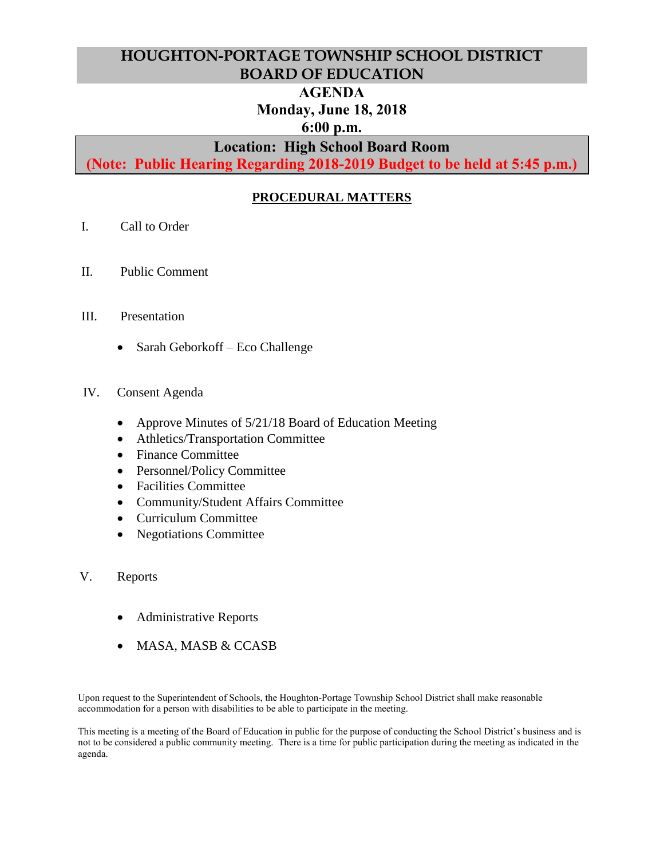# **HOUGHTON-PORTAGE TOWNSHIP SCHOOL DISTRICT BOARD OF EDUCATION**

## **AGENDA**

# **Monday, June 18, 2018**

# **6:00 p.m.**

# **Location: High School Board Room**

**(Note: Public Hearing Regarding 2018-2019 Budget to be held at 5:45 p.m.)**

# **PROCEDURAL MATTERS**

- I. Call to Order
- II. Public Comment
- III. Presentation
	- Sarah Geborkoff Eco Challenge
- IV. Consent Agenda
	- Approve Minutes of 5/21/18 Board of Education Meeting
	- Athletics/Transportation Committee
	- Finance Committee
	- Personnel/Policy Committee
	- Facilities Committee
	- Community/Student Affairs Committee
	- Curriculum Committee
	- Negotiations Committee
- V. Reports
	- Administrative Reports
	- MASA, MASB & CCASB

Upon request to the Superintendent of Schools, the Houghton-Portage Township School District shall make reasonable accommodation for a person with disabilities to be able to participate in the meeting.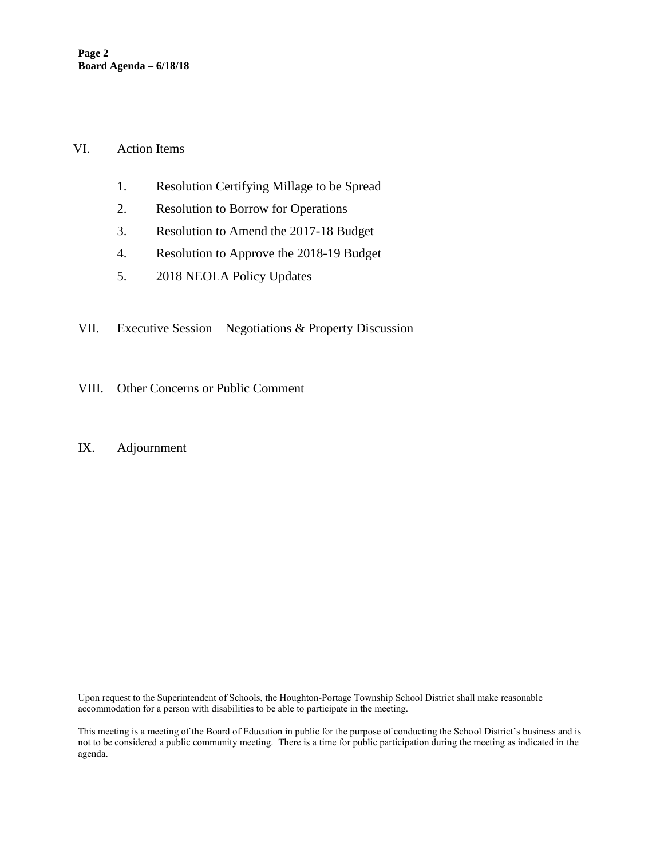#### VI. Action Items

- 1. Resolution Certifying Millage to be Spread
- 2. Resolution to Borrow for Operations
- 3. Resolution to Amend the 2017-18 Budget
- 4. Resolution to Approve the 2018-19 Budget
- 5. 2018 NEOLA Policy Updates
- VII. Executive Session Negotiations & Property Discussion
- VIII. Other Concerns or Public Comment

#### IX. Adjournment

Upon request to the Superintendent of Schools, the Houghton-Portage Township School District shall make reasonable accommodation for a person with disabilities to be able to participate in the meeting.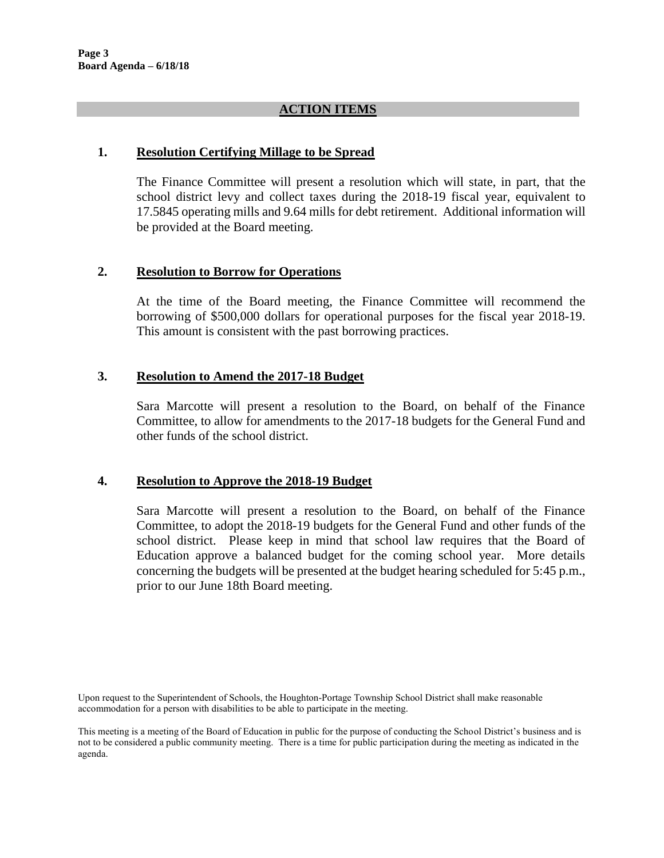### **ACTION ITEMS**

### **1. Resolution Certifying Millage to be Spread**

The Finance Committee will present a resolution which will state, in part, that the school district levy and collect taxes during the 2018-19 fiscal year, equivalent to 17.5845 operating mills and 9.64 mills for debt retirement. Additional information will be provided at the Board meeting.

### **2. Resolution to Borrow for Operations**

At the time of the Board meeting, the Finance Committee will recommend the borrowing of \$500,000 dollars for operational purposes for the fiscal year 2018-19. This amount is consistent with the past borrowing practices.

### **3. Resolution to Amend the 2017-18 Budget**

Sara Marcotte will present a resolution to the Board, on behalf of the Finance Committee, to allow for amendments to the 2017-18 budgets for the General Fund and other funds of the school district.

#### **4. Resolution to Approve the 2018-19 Budget**

Sara Marcotte will present a resolution to the Board, on behalf of the Finance Committee, to adopt the 2018-19 budgets for the General Fund and other funds of the school district. Please keep in mind that school law requires that the Board of Education approve a balanced budget for the coming school year. More details concerning the budgets will be presented at the budget hearing scheduled for 5:45 p.m., prior to our June 18th Board meeting.

Upon request to the Superintendent of Schools, the Houghton-Portage Township School District shall make reasonable accommodation for a person with disabilities to be able to participate in the meeting.